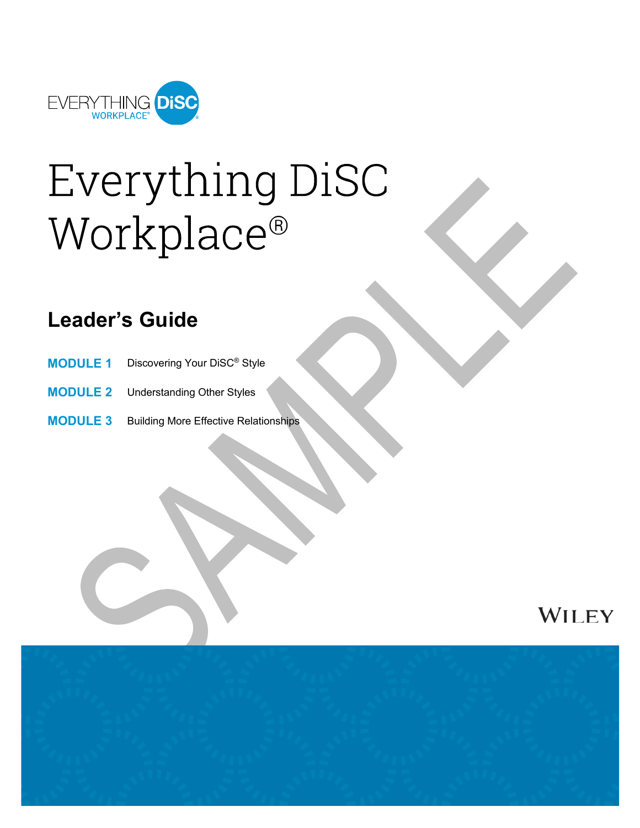

# Everything DiSC Workplace®

# **Leader's Guide**

- **MODULE 1** Discovering Your DiSC® Style
- **MODULE 2** Understanding Other Styles
- **MODULE 3** Building More Effective Relationships



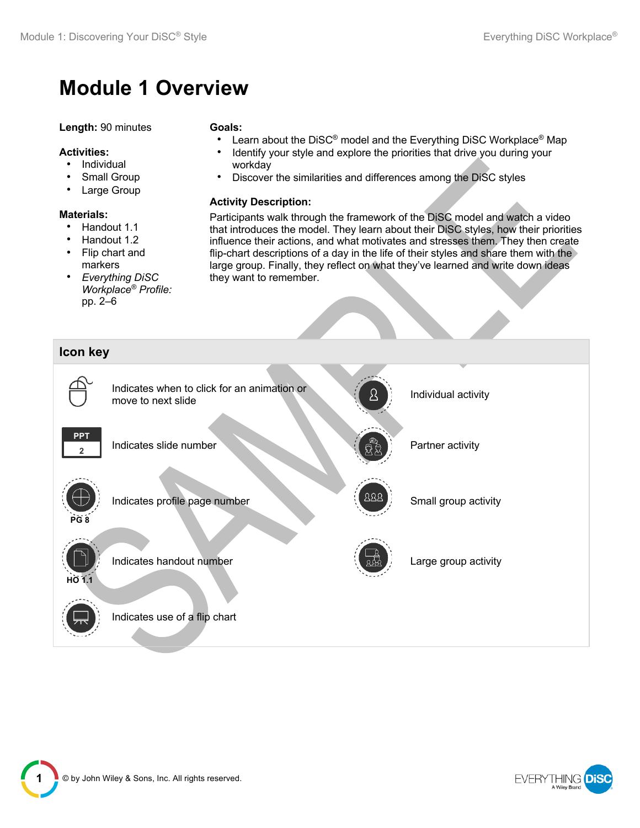# **Module 1 Overview**

#### **Length:** 90 minutes

#### **Activities:**

- Individual
- Small Group
- Large Group

#### **Materials:**

- Handout 1.1
- Handout 1.2
- Flip chart and markers
- *Everything DiSC Workplace® Profile:* pp. 2–6

#### **Goals:**

- Learn about the DiSC<sup>®</sup> model and the Everything DiSC Workplace<sup>®</sup> Map
- Identify your style and explore the priorities that drive you during your workday
- Discover the similarities and differences among the DiSC styles

#### **Activity Description:**

Participants walk through the framework of the DiSC model and watch a video that introduces the model. They learn about their DiSC styles, how their priorities influence their actions, and what motivates and stresses them. They then create flip-chart descriptions of a day in the life of their styles and share them with the large group. Finally, they reflect on what they've learned and write down ideas they want to remember.





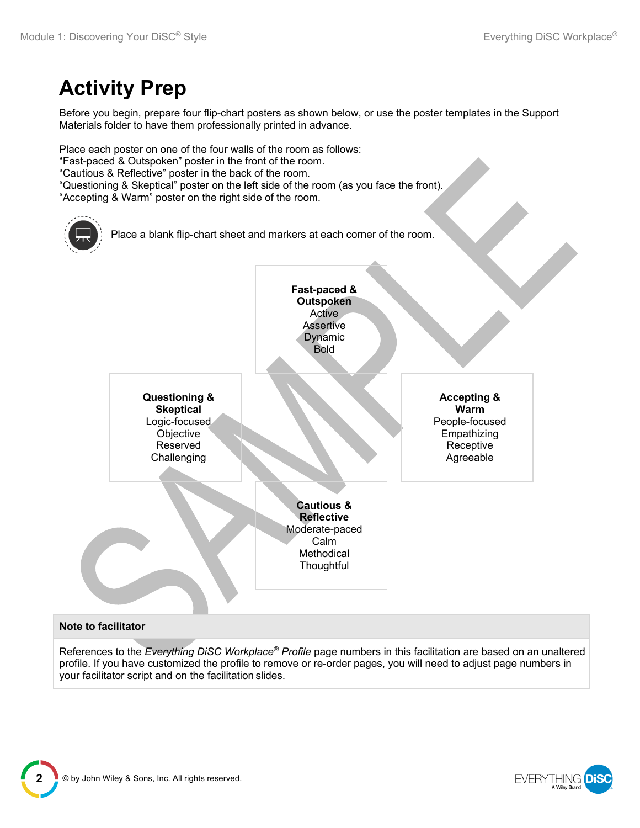# **Activity Prep**

Before you begin, prepare four flip-chart posters as shown below, or use the poster templates in the Support Materials folder to have them professionally printed in advance.

Place each poster on one of the four walls of the room as follows: "Fast-paced & Outspoken" poster in the front of the room. "Cautious & Reflective" poster in the back of the room. "Questioning & Skeptical" poster on the left side of the room (as you face the front). "Accepting & Warm" poster on the right side of the room.



#### **Note to facilitator**

References to the *Everything DiSC Workplace® Profile* page numbers in this facilitation are based on an unaltered profile. If you have customized the profile to remove or re-order pages, you will need to adjust page numbers in your facilitator script and on the facilitation slides.



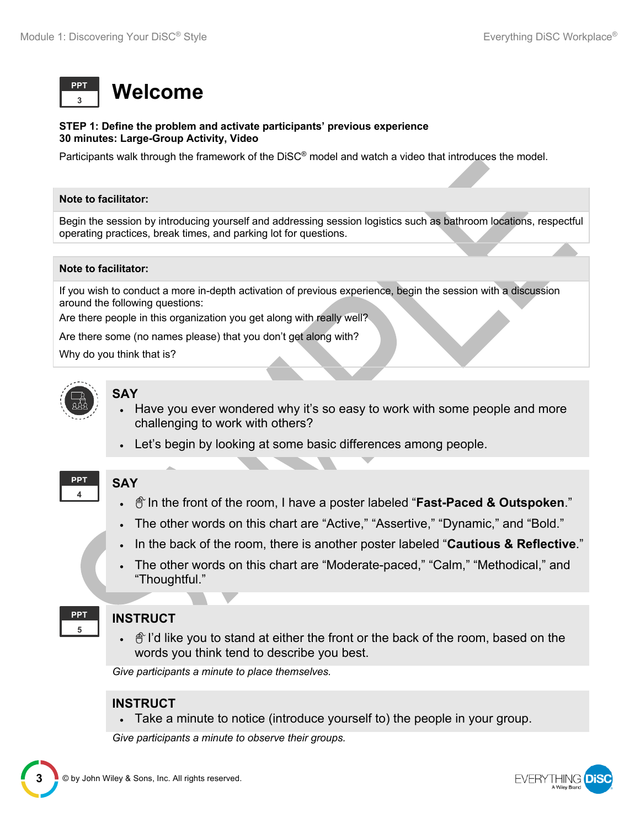

#### **STEP 1: Define the problem and activate participants' previous experience 30 minutes: Large-Group Activity, Video**

Participants walk through the framework of the DiSC® model and watch a video that introduces the model.

#### **Note to facilitator:**

Begin the session by introducing yourself and addressing session logistics such as bathroom locations, respectful operating practices, break times, and parking lot for questions.

#### **Note to facilitator:**

If you wish to conduct a more in-depth activation of previous experience, begin the session with a discussion around the following questions:

Are there people in this organization you get along with really well?

Are there some (no names please) that you don't get along with?

Why do you think that is?



# **SAY**

**SAY**

- Have you ever wondered why it's so easy to work with some people and more challenging to work with others?
- Let's begin by looking at some basic differences among people.

#### **4 PPT**

- $\oplus$  In the front of the room, I have a poster labeled "**Fast-Paced & Outspoken**."
- The other words on this chart are "Active," "Assertive," "Dynamic," and "Bold."
- In the back of the room, there is another poster labeled "**Cautious & Reflective**."
- The other words on this chart are "Moderate-paced," "Calm," "Methodical," and "Thoughtful."



#### **INSTRUCT**

 $\bullet$   $\hat{\mathbb{C}}$  l'd like you to stand at either the front or the back of the room, based on the words you think tend to describe you best.

*Give participants a minute to place themselves.*

#### **INSTRUCT**

• Take a minute to notice (introduce yourself to) the people in your group.

*Give participants a minute to observe their groups.*

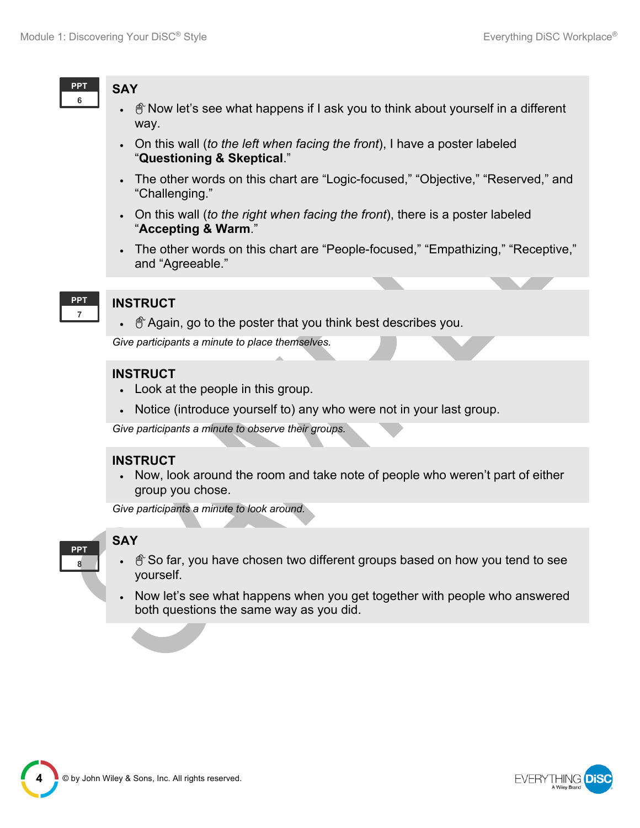

## **SAY**

- $\hat{\sigma}$  Now let's see what happens if I ask you to think about yourself in a different way.
- On this wall (*to the left when facing the front*), I have a poster labeled "**Questioning & Skeptical**."
- The other words on this chart are "Logic-focused," "Objective," "Reserved," and "Challenging."
- On this wall (*to the right when facing the front*), there is a poster labeled "**Accepting & Warm**."
- The other words on this chart are "People-focused," "Empathizing," "Receptive," and "Agreeable."
- **7 PPT**

## **INSTRUCT**

 $\bullet$   $\hat{\mathbb{P}}$  Again, go to the poster that you think best describes you.

*Give participants a minute to place themselves.*

## **INSTRUCT**

- Look at the people in this group.
- Notice (introduce yourself to) any who were not in your last group.

*Give participants a minute to observe their groups.*

## **INSTRUCT**

• Now, look around the room and take note of people who weren't part of either group you chose.

*Give participants a minute to look around.*



# **SAY**

- So far, you have chosen two different groups based on how you tend to see yourself.
- Now let's see what happens when you get together with people who answered both questions the same way as you did.



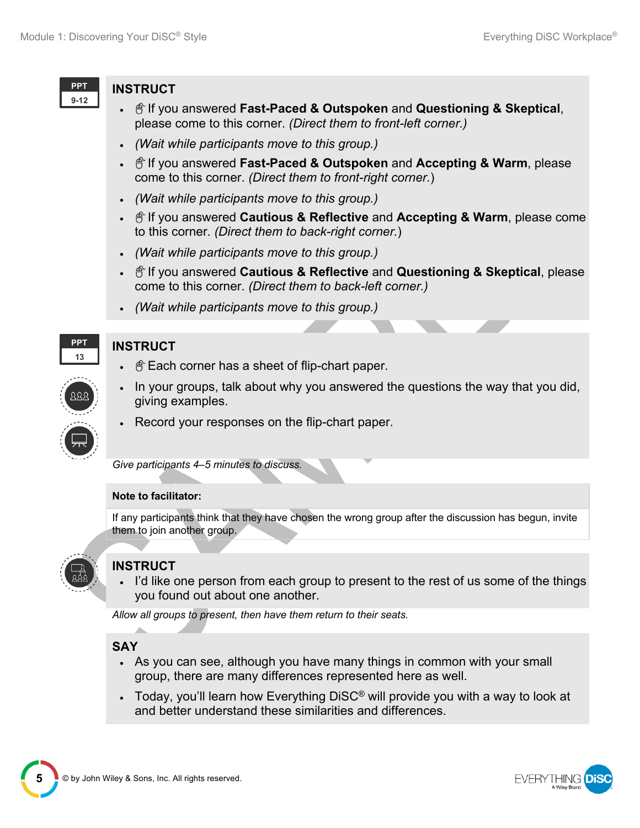

#### **INSTRUCT**

- If you answered **Fast-Paced & Outspoken** and **Questioning & Skeptical**, please come to this corner. *(Direct them to front-left corner.)*
- *(Wait while participants move to this group.)*
- If you answered **Fast-Paced & Outspoken** and **Accepting & Warm**, please come to this corner. *(Direct them to front-right corner.*)
- *(Wait while participants move to this group.)*
- If you answered **Cautious & Reflective** and **Accepting & Warm**, please come to this corner. *(Direct them to back-right corner.*)
- *(Wait while participants move to this group.)*
- If you answered **Cautious & Reflective** and **Questioning & Skeptical**, please come to this corner. *(Direct them to back-left corner.)*
- *(Wait while participants move to this group.)*



# **INSTRUCT**

- $\bullet$   $\hat{\mathbb{F}}$  Each corner has a sheet of flip-chart paper.
- In your groups, talk about why you answered the questions the way that you did, giving examples.
- Record your responses on the flip-chart paper.

*Give participants 4–5 minutes to discuss.*

#### **Note to facilitator:**

If any participants think that they have chosen the wrong group after the discussion has begun, invite them to join another group.



# **INSTRUCT**

I'd like one person from each group to present to the rest of us some of the things you found out about one another.

*Allow all groups to present, then have them return to their seats.*

# **SAY**

- As you can see, although you have many things in common with your small group, there are many differences represented here as well.
- Today, you'll learn how Everything DiSC<sup>®</sup> will provide you with a way to look at and better understand these similarities and differences.